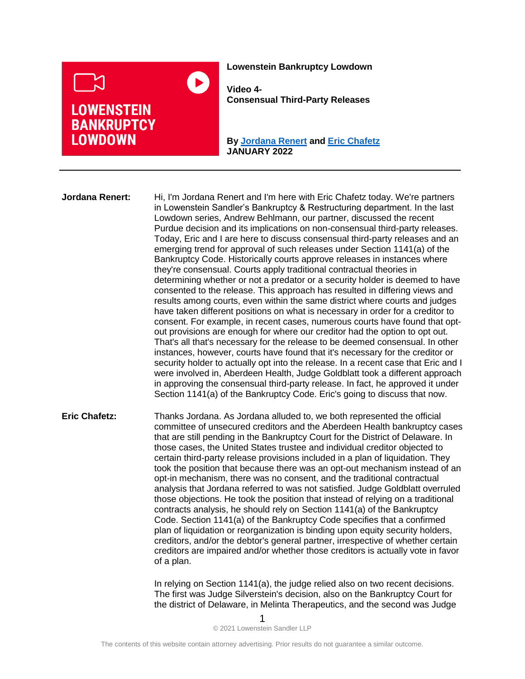

**Lowenstein Bankruptcy Lowdown**

**Video 4- Consensual Third-Party Releases**

**By [Jordana Renert](https://www.lowenstein.com/people/attorneys/jordana-renert) and [Eric Chafetz](https://www.lowenstein.com/people/attorneys/eric-chafetz) JANUARY 2022**

**Jordana Renert:** Hi, I'm Jordana Renert and I'm here with Eric Chafetz today. We're partners in Lowenstein Sandler's Bankruptcy & Restructuring department. In the last Lowdown series, Andrew Behlmann, our partner, discussed the recent Purdue decision and its implications on non-consensual third-party releases. Today, Eric and I are here to discuss consensual third-party releases and an emerging trend for approval of such releases under Section 1141(a) of the Bankruptcy Code. Historically courts approve releases in instances where they're consensual. Courts apply traditional contractual theories in determining whether or not a predator or a security holder is deemed to have consented to the release. This approach has resulted in differing views and results among courts, even within the same district where courts and judges have taken different positions on what is necessary in order for a creditor to consent. For example, in recent cases, numerous courts have found that optout provisions are enough for where our creditor had the option to opt out. That's all that's necessary for the release to be deemed consensual. In other instances, however, courts have found that it's necessary for the creditor or security holder to actually opt into the release. In a recent case that Eric and I were involved in, Aberdeen Health, Judge Goldblatt took a different approach in approving the consensual third-party release. In fact, he approved it under Section 1141(a) of the Bankruptcy Code. Eric's going to discuss that now.

**Eric Chafetz:** Thanks Jordana. As Jordana alluded to, we both represented the official committee of unsecured creditors and the Aberdeen Health bankruptcy cases that are still pending in the Bankruptcy Court for the District of Delaware. In those cases, the United States trustee and individual creditor objected to certain third-party release provisions included in a plan of liquidation. They took the position that because there was an opt-out mechanism instead of an opt-in mechanism, there was no consent, and the traditional contractual analysis that Jordana referred to was not satisfied. Judge Goldblatt overruled those objections. He took the position that instead of relying on a traditional contracts analysis, he should rely on Section 1141(a) of the Bankruptcy Code. Section 1141(a) of the Bankruptcy Code specifies that a confirmed plan of liquidation or reorganization is binding upon equity security holders, creditors, and/or the debtor's general partner, irrespective of whether certain creditors are impaired and/or whether those creditors is actually vote in favor of a plan.

> In relying on Section 1141(a), the judge relied also on two recent decisions. The first was Judge Silverstein's decision, also on the Bankruptcy Court for the district of Delaware, in Melinta Therapeutics, and the second was Judge